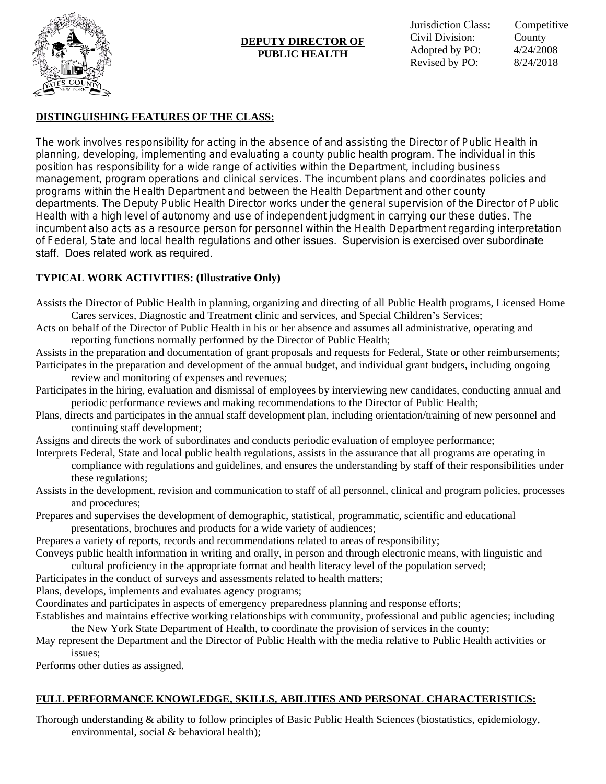

### **DEPUTY DIRECTOR OF PUBLIC HEALTH**

# **DISTINGUISHING FEATURES OF THE CLASS:**

The work involves responsibility for acting in the absence of and assisting the Director of Public Health in planning, developing, implementing and evaluating a county public health program. The individual in this position has responsibility for a wide range of activities within the Department, including business management, program operations and clinical services. The incumbent plans and coordinates policies and programs within the Health Department and between the Health Department and other county departments. The Deputy Public Health Director works under the general supervision of the Director of Public Health with a high level of autonomy and use of independent judgment in carrying our these duties. The incumbent also acts as a resource person for personnel within the Health Department regarding interpretation of Federal, State and local health regulations and other issues. Supervision is exercised over subordinate staff. Does related work as required.

## **TYPICAL WORK ACTIVITIES: (Illustrative Only)**

- Assists the Director of Public Health in planning, organizing and directing of all Public Health programs, Licensed Home Cares services, Diagnostic and Treatment clinic and services, and Special Children's Services;
- Acts on behalf of the Director of Public Health in his or her absence and assumes all administrative, operating and reporting functions normally performed by the Director of Public Health;
- Assists in the preparation and documentation of grant proposals and requests for Federal, State or other reimbursements; Participates in the preparation and development of the annual budget, and individual grant budgets, including ongoing review and monitoring of expenses and revenues;
- Participates in the hiring, evaluation and dismissal of employees by interviewing new candidates, conducting annual and periodic performance reviews and making recommendations to the Director of Public Health;
- Plans, directs and participates in the annual staff development plan, including orientation/training of new personnel and continuing staff development;
- Assigns and directs the work of subordinates and conducts periodic evaluation of employee performance;
- Interprets Federal, State and local public health regulations, assists in the assurance that all programs are operating in compliance with regulations and guidelines, and ensures the understanding by staff of their responsibilities under these regulations;
- Assists in the development, revision and communication to staff of all personnel, clinical and program policies, processes and procedures;
- Prepares and supervises the development of demographic, statistical, programmatic, scientific and educational presentations, brochures and products for a wide variety of audiences;
- Prepares a variety of reports, records and recommendations related to areas of responsibility;
- Conveys public health information in writing and orally, in person and through electronic means, with linguistic and cultural proficiency in the appropriate format and health literacy level of the population served;
- Participates in the conduct of surveys and assessments related to health matters;
- Plans, develops, implements and evaluates agency programs;
- Coordinates and participates in aspects of emergency preparedness planning and response efforts;
- Establishes and maintains effective working relationships with community, professional and public agencies; including the New York State Department of Health, to coordinate the provision of services in the county;
- May represent the Department and the Director of Public Health with the media relative to Public Health activities or issues;

Performs other duties as assigned.

## **FULL PERFORMANCE KNOWLEDGE, SKILLS, ABILITIES AND PERSONAL CHARACTERISTICS:**

Thorough understanding & ability to follow principles of Basic Public Health Sciences (biostatistics, epidemiology, environmental, social & behavioral health);